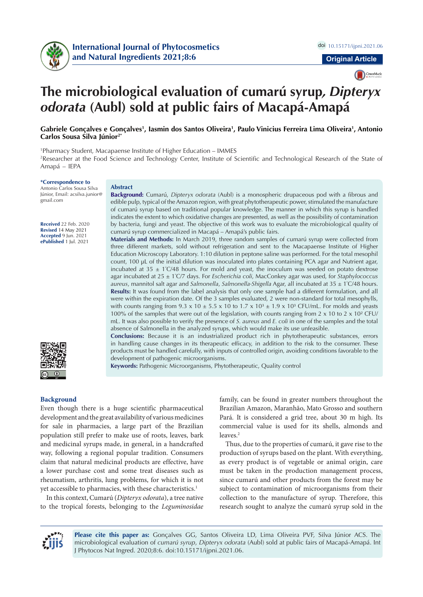

CrossMark

# **The microbiological evaluation of cumarú syrup***, Dipteryx odorata* **(Aubl) sold at public fairs of Macapá-Amapá**

# Gabriele Gonçalves e Gonçalves<sup>1</sup>, Iasmin dos Santos Oliveira<sup>1</sup>, Paulo Vinicius Ferreira Lima Oliveira<sup>1</sup>, Antonio **Carlos Sousa Silva Júnior2\***

1 Pharmacy Student, Macapaense Institute of Higher Education – IMMES 2 Researcher at the Food Science and Technology Center, Institute of Scientific and Technological Research of the State of Amapá – IEPA

#### **\*Correspondence to**

Antonio Carlos Sousa Silva Júnior, Email: acsilva.junior@ gmail.com

**Received** 22 Feb. 2020 **Revised** 14 May 2021 **Accepted** 9 Jun. 2021 **ePublished** 1 Jul. 2021



# **Abstract**

**Background:** Cumarú, *Dipteryx odorata* (Aubl) is a monospheric drupaceous pod with a fibrous and edible pulp, typical of the Amazon region, with great phytotherapeutic power, stimulated the manufacture of cumarú syrup based on traditional popular knowledge. The manner in which this syrup is handled indicates the extent to which oxidative changes are presented, as well as the possibility of contamination by bacteria, fungi and yeast. The objective of this work was to evaluate the microbiological quality of cumarú syrup commercialized in Macapá – Amapá's public fairs.

**Materials and Methods:** In March 2019, three random samples of cumarú syrup were collected from three different markets, sold without refrigeration and sent to the Macapaense Institute of Higher Education Microscopy Laboratory. 1:10 dilution in peptone saline was performed. For the total mesophil count, 100 µL of the initial dilution was inoculated into plates containing PCA agar and Nutrient agar, incubated at  $35 \pm 1^{\circ}C/48$  hours. For mold and yeast, the inoculum was seeded on potato dextrose agar incubated at 25 ± 1º C/7 days. For *Escherichia coli*, MacConkey agar was used, for *Staphylococcus aureus*, mannitol salt agar and *Salmonella*, *Salmonella-Shigella* Agar, all incubated at 35 ± 1º C/48 hours. **Results:** It was found from the label analysis that only one sample had a different formulation, and all were within the expiration date. Of the 3 samples evaluated, 2 were non-standard for total mesophylls, with counts ranging from  $9.3 \times 10 \pm 5.5 \times 10$  to  $1.7 \times 10<sup>3</sup> \pm 1.9 \times 10<sup>3</sup>$  CFU/mL. For molds and yeasts 100% of the samples that were out of the legislation, with counts ranging from 2 x 10 to 2 x 10² CFU/ mL. It was also possible to verify the presence of *S. aureus* and *E. coli* in one of the samples and the total absence of Salmonella in the analyzed syrups, which would make its use unfeasible.

**Conclusions:** Because it is an industrialized product rich in phytotherapeutic substances, errors in handling cause changes in its therapeutic efficacy, in addition to the risk to the consumer. These products must be handled carefully, with inputs of controlled origin, avoiding conditions favorable to the development of pathogenic microorganisms.

**Keywords:** Pathogenic Microorganisms, Phytotherapeutic, Quality control

#### **Background**

Even though there is a huge scientific pharmaceutical development and the great availability of various medicines for sale in pharmacies, a large part of the Brazilian population still prefer to make use of roots, leaves, bark and medicinal syrups made, in general, in a handcrafted way, following a regional popular tradition. Consumers claim that natural medicinal products are effective, have a lower purchase cost and some treat diseases such as rheumatism, arthritis, lung problems, for which it is not yet accessible to pharmacies, with these characteristics.<sup>1</sup>

In this context, Cumarú (*Dipteryx odorata*), a tree native to the tropical forests, belonging to the *Leguminosidae*

family, can be found in greater numbers throughout the Brazilian Amazon, Maranhão, Mato Grosso and southern Pará. It is considered a grid tree, about 30 m high. Its commercial value is used for its shells, almonds and leaves.<sup>2</sup>

Thus, due to the properties of cumarú, it gave rise to the production of syrups based on the plant. With everything, as every product is of vegetable or animal origin, care must be taken in the production management process, since cumarú and other products from the forest may be subject to contamination of microorganisms from their collection to the manufacture of syrup. Therefore, this research sought to analyze the cumarú syrup sold in the



**Please cite this paper as:** Gonçalves GG, Santos Oliveira LD, Lima Oliveira PVF, Silva Júnior ACS. The microbiological evaluation of *cumarú syrup*, *Dipteryx odorata* (Aubl) sold at public fairs of Macapá-Amapá. Int J Phytocos Nat Ingred. 2020;8:6. doi:10.15171/ijpni.2021.06.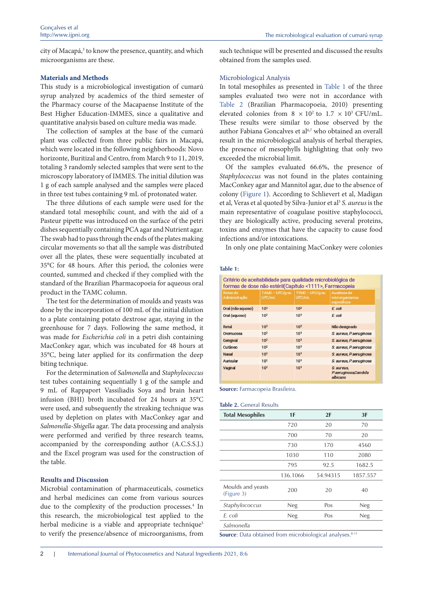city of Macapá,<sup>3</sup> to know the presence, quantity, and which microorganisms are these.

### **Materials and Methods**

This study is a microbiological investigation of cumarú syrup analyzed by academics of the third semester of the Pharmacy course of the Macapaense Institute of the Best Higher Education-IMMES, since a qualitative and quantitative analysis based on culture media was made.

The collection of samples at the base of the cumarú plant was collected from three public fairs in Macapá, which were located in the following neighborhoods: Novo horizonte, Buritizal and Centro, from March 9 to 11, 2019, totaling 3 randomly selected samples that were sent to the microscopy laboratory of IMMES. The initial dilution was 1 g of each sample analysed and the samples were placed in three test tubes containing 9 mL of protonated water.

The three dilutions of each sample were used for the standard total mesophilic count, and with the aid of a Pasteur pipette was introduced on the surface of the petri dishes sequentially containing PCA agar and Nutrient agar. The swab had to pass through the ends of the plates making circular movements so that all the sample was distributed over all the plates, these were sequentially incubated at 35°C for 48 hours. After this period, the colonies were counted, summed and checked if they complied with the standard of the Brazilian Pharmacopoeia for aqueous oral product in the TAMC column.

The test for the determination of moulds and yeasts was done by the incorporation of 100 mL of the initial dilution to a plate containing potato dextrose agar, staying in the greenhouse for 7 days. Following the same method, it was made for *Escherichia coli* in a petri dish containing MacConkey agar, which was incubated for 48 hours at 35°C, being later applied for its confirmation the deep biting technique.

For the determination of *Salmonella* and *Staphylococcus* test tubes containing sequentially 1 g of the sample and 9 mL of Rappaport Vassiliadis Soya and brain heart infusion (BHI) broth incubated for 24 hours at 35°C were used, and subsequently the streaking technique was used by depletion on plates with MacConkey agar and *Salmonella-Shigella* agar. The data processing and analysis were performed and verified by three research teams, accompanied by the corresponding author (A.C.S.S.J.) and the Excel program was used for the construction of the table.

# **Results and Discussion**

Microbial contamination of pharmaceuticals, cosmetics and herbal medicines can come from various sources due to the complexity of the production processes.<sup>4</sup> In this research, the microbiological test applied to the herbal medicine is a viable and appropriate technique<sup>5</sup> to verify the presence/absence of microorganisms, from such technique will be presented and discussed the results obtained from the samples used.

## Microbiological Analysis

In total mesophiles as presented in [Table 1](#page-1-0) of the three samples evaluated two were not in accordance with Table 2 (Brazilian Pharmacopoeia, 2010) presenting elevated colonies from  $8 \times 10^2$  to  $1.7 \times 10^3$  CFU/mL. These results were similar to those observed by the author Fabiana Goncalves et al<sup>6,7</sup> who obtained an overall result in the microbiological analysis of herbal therapies, the presence of mesophylls highlighting that only two exceeded the microbial limit.

Of the samples evaluated 66.6%, the presence of *Staphylococcus* was not found in the plates containing MacConkey agar and Mannitol agar, due to the absence of colony ([Figure 1](#page-2-0)). According to Schlievert et al, Madigan et al, Veras et al quoted by Silva-Junior et al<sup>3</sup> *S. aureus* is the main representative of coagulase positive staphylococci, they are biologically active, producing several proteins, toxins and enzymes that have the capacity to cause food infections and/or intoxications.

In only one plate containing MacConkey were colonies

#### <span id="page-1-0"></span>**Table 1:**

| Critério de aceitabilidade para qualidade microbiológica de<br>formas de dose não estéril(Capítulo <1111>, Farmacopeia |                           |                           |                                                |  |  |
|------------------------------------------------------------------------------------------------------------------------|---------------------------|---------------------------|------------------------------------------------|--|--|
| Rotas de<br>Administração                                                                                              | TAMC - UFC/g ou<br>UFC/mL | TYMC - UFC/g ou<br>UFC/mL | Ausência de<br>microrganismos<br>específicos   |  |  |
| Oral (não aquoso)                                                                                                      | 10 <sup>3</sup>           | 10 <sup>2</sup>           | $E$ coli                                       |  |  |
| Oral (aquoso)                                                                                                          | 10 <sup>2</sup>           | 10 <sup>1</sup>           | $E$ coli                                       |  |  |
| Retal                                                                                                                  | 10 <sup>3</sup>           | 10 <sup>2</sup>           | Não designado                                  |  |  |
| Oromucosa                                                                                                              | 10 <sup>2</sup>           | 10 <sup>1</sup>           | S. aureus, P. aeruginosa                       |  |  |
| Gengival                                                                                                               | 10 <sup>2</sup>           | 10 <sup>1</sup>           | S. aureus, P. aeruginosa                       |  |  |
| Cutâneo                                                                                                                | 10 <sup>2</sup>           | 10 <sup>1</sup>           | S. aureus, P. aeruginosa                       |  |  |
| <b>Nasal</b>                                                                                                           | 10 <sup>2</sup>           | 10 <sup>1</sup>           | S. aureus, P. aeruginosa                       |  |  |
| Auricular                                                                                                              | 10 <sup>2</sup>           | 10 <sup>1</sup>           | S. aureus, P. aeruginosa                       |  |  |
| Vaginal                                                                                                                | 10 <sup>2</sup>           | 10 <sup>1</sup>           | S. aureus,<br>P.aeruginosa;Candida<br>albicans |  |  |

**Source:** Farmacopeia Brasileira.

#### **Table 2.** General Results

| <b>Total Mesophiles</b>         | 1F         | 2F       | 3F         |
|---------------------------------|------------|----------|------------|
|                                 | 720        | 20       | 70         |
|                                 | 700        | 70       | 20         |
|                                 | 730        | 170      | 4560       |
|                                 | 1030       | 110      | 2080       |
|                                 | 795        | 92.5     | 1682.5     |
|                                 | 136.1066   | 54.94315 | 1857.557   |
| Moulds and yeasts<br>(Figure 3) | 200        | 20       | 40         |
| Staphylococcus                  | <b>Neg</b> | Pos      | <b>Neg</b> |
| F. coli                         | <b>Neg</b> | Pos      | <b>Neg</b> |
| Salmonella                      |            |          |            |

**Source**: Data obtained from microbiological analyses.<sup>8-11</sup>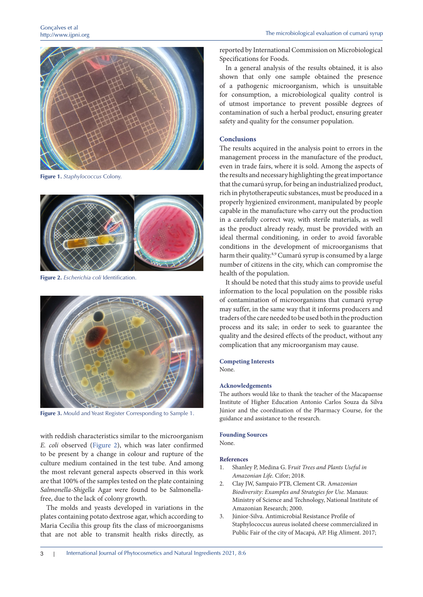

**Figure 1.** *Staphylococcus* Colony.

<span id="page-2-0"></span>

**Figure 2.** *Escherichia coli* Identification.

<span id="page-2-2"></span>

**Figure 3.** Mould and Yeast Register Corresponding to Sample 1.

<span id="page-2-1"></span>with reddish characteristics similar to the microorganism *E. coli* observed [\(Figure 2](#page-2-2)), which was later confirmed to be present by a change in colour and rupture of the culture medium contained in the test tube. And among the most relevant general aspects observed in this work are that 100% of the samples tested on the plate containing *Salmonella-Shigella* Agar were found to be Salmonellafree, due to the lack of colony growth.

The molds and yeasts developed in variations in the plates containing potato dextrose agar, which according to Maria Cecilia this group fits the class of microorganisms that are not able to transmit health risks directly, as

reported by International Commission on Microbiological Specifications for Foods.

In a general analysis of the results obtained, it is also shown that only one sample obtained the presence of a pathogenic microorganism, which is unsuitable for consumption, a microbiological quality control is of utmost importance to prevent possible degrees of contamination of such a herbal product, ensuring greater safety and quality for the consumer population.

#### **Conclusions**

The results acquired in the analysis point to errors in the management process in the manufacture of the product, even in trade fairs, where it is sold. Among the aspects of the results and necessary highlighting the great importance that the cumarú syrup, for being an industrialized product, rich in phytotherapeutic substances, must be produced in a properly hygienized environment, manipulated by people capable in the manufacture who carry out the production in a carefully correct way, with sterile materials, as well as the product already ready, must be provided with an ideal thermal conditioning, in order to avoid favorable conditions in the development of microorganisms that harm their quality.<sup>8,9</sup> Cumarú syrup is consumed by a large number of citizens in the city, which can compromise the health of the population.

It should be noted that this study aims to provide useful information to the local population on the possible risks of contamination of microorganisms that cumarú syrup may suffer, in the same way that it informs producers and traders of the care needed to be used both in the production process and its sale; in order to seek to guarantee the quality and the desired effects of the product, without any complication that any microorganism may cause.

# **Competing Interests**

None.

#### **Acknowledgements**

The authors would like to thank the teacher of the Macapaense Institute of Higher Education Antonio Carlos Souza da Silva Júnior and the coordination of the Pharmacy Course, for the guidance and assistance to the research.

#### **Founding Sources**

None.

#### **References**

- 1. Shanley P, Medina G. F*ruit Trees and Plants Useful in Amazonian Life.* Cifor; 2018.
- 2. Clay JW, Sampaio PTB, Clement CR. A*mazonian Biodiversity: Examples and Strategies for Use.* Manaus: Ministry of Science and Technology, National Institute of Amazonian Research; 2000.
- 3. Júnior-Silva. Antimicrobial Resistance Profile of Staphylococcus aureus isolated cheese commercialized in Public Fair of the city of Macapá, AP. Hig Aliment. 2017;